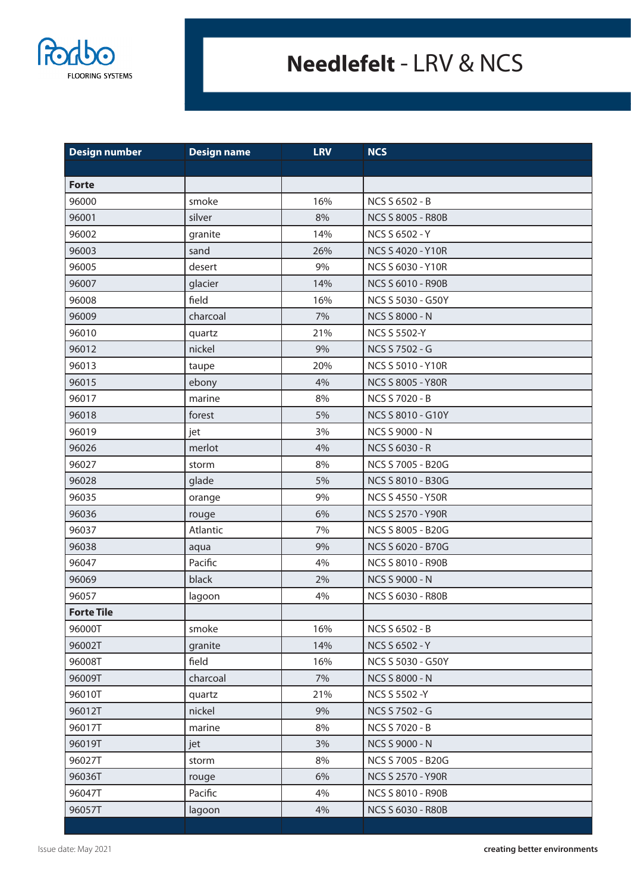

## **Needlefelt** - LRV & NCS

| <b>Design number</b> | <b>Design name</b> | <b>LRV</b> | <b>NCS</b>               |
|----------------------|--------------------|------------|--------------------------|
|                      |                    |            |                          |
| <b>Forte</b>         |                    |            |                          |
| 96000                | smoke              | 16%        | NCS S 6502 - B           |
| 96001                | silver             | 8%         | <b>NCS S 8005 - R80B</b> |
| 96002                | granite            | 14%        | NCS S 6502 - Y           |
| 96003                | sand               | 26%        | <b>NCS S 4020 - Y10R</b> |
| 96005                | desert             | 9%         | <b>NCS S 6030 - Y10R</b> |
| 96007                | glacier            | 14%        | <b>NCS S 6010 - R90B</b> |
| 96008                | field              | 16%        | NCS S 5030 - G50Y        |
| 96009                | charcoal           | 7%         | <b>NCS S 8000 - N</b>    |
| 96010                | quartz             | 21%        | <b>NCS S 5502-Y</b>      |
| 96012                | nickel             | 9%         | NCS S 7502 - G           |
| 96013                | taupe              | 20%        | <b>NCS S 5010 - Y10R</b> |
| 96015                | ebony              | 4%         | NCS S 8005 - Y80R        |
| 96017                | marine             | 8%         | NCS S 7020 - B           |
| 96018                | forest             | 5%         | NCS S 8010 - G10Y        |
| 96019                | jet                | 3%         | NCS S 9000 - N           |
| 96026                | merlot             | 4%         | <b>NCS S 6030 - R</b>    |
| 96027                | storm              | 8%         | NCS S 7005 - B20G        |
| 96028                | glade              | 5%         | NCS S 8010 - B30G        |
| 96035                | orange             | 9%         | <b>NCS S 4550 - Y50R</b> |
| 96036                | rouge              | 6%         | NCS S 2570 - Y90R        |
| 96037                | Atlantic           | 7%         | NCS S 8005 - B20G        |
| 96038                | aqua               | 9%         | NCS S 6020 - B70G        |
| 96047                | Pacific            | 4%         | <b>NCS S 8010 - R90B</b> |
| 96069                | black              | 2%         | NCS S 9000 - N           |
| 96057                | lagoon             | 4%         | NCS S 6030 - R80B        |
| <b>Forte Tile</b>    |                    |            |                          |
| 96000T               | smoke              | 16%        | NCS S 6502 - B           |
| 96002T               | granite            | 14%        | NCS S 6502 - Y           |
| 96008T               | field              | 16%        | NCS S 5030 - G50Y        |
| 96009T               | charcoal           | 7%         | NCS S 8000 - N           |
| 96010T               | quartz             | 21%        | NCS S 5502 -Y            |
| 96012T               | nickel             | 9%         | NCS S 7502 - G           |
| 96017T               | marine             | 8%         | <b>NCS S 7020 - B</b>    |
| 96019T               | jet                | 3%         | <b>NCS S 9000 - N</b>    |
| 96027T               | storm              | 8%         | NCS S 7005 - B20G        |
| 96036T               | rouge              | 6%         | NCS S 2570 - Y90R        |
| 96047T               | Pacific            | 4%         | NCS S 8010 - R90B        |
| 96057T               | lagoon             | 4%         | NCS S 6030 - R80B        |